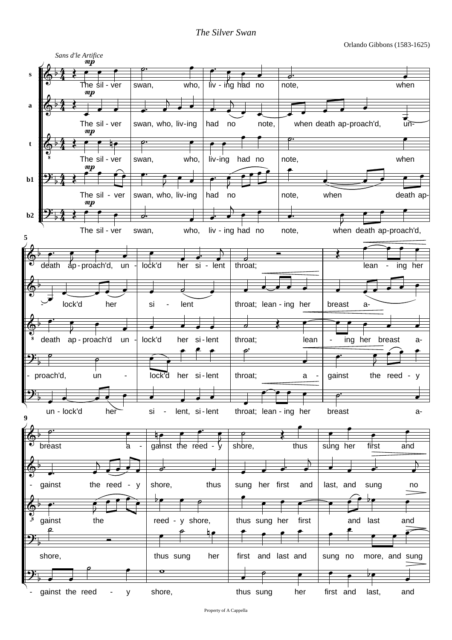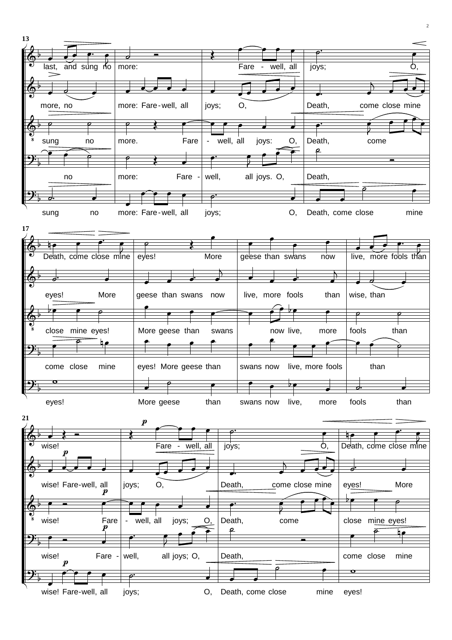